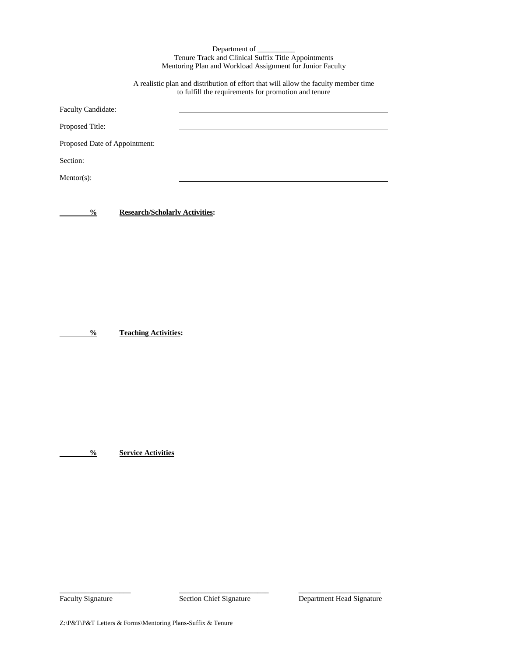Department of \_ Tenure Track and Clinical Suffix Title Appointments Mentoring Plan and Workload Assignment for Junior Faculty

A realistic plan and distribution of effort that will allow the faculty member time to fulfill the requirements for promotion and tenure

| <b>Faculty Candidate:</b>     |  |
|-------------------------------|--|
| Proposed Title:               |  |
| Proposed Date of Appointment: |  |
| Section:                      |  |
| Mentor(s):                    |  |

**% Research/Scholarly Activities:**

**% Teaching Activities:**

**% Service Activities**

 $\_$  ,  $\_$  ,  $\_$  ,  $\_$  ,  $\_$  ,  $\_$  ,  $\_$  ,  $\_$  ,  $\_$  ,  $\_$  ,  $\_$  ,  $\_$  ,  $\_$  ,  $\_$  ,  $\_$  ,  $\_$  ,  $\_$  ,  $\_$  ,  $\_$  ,  $\_$